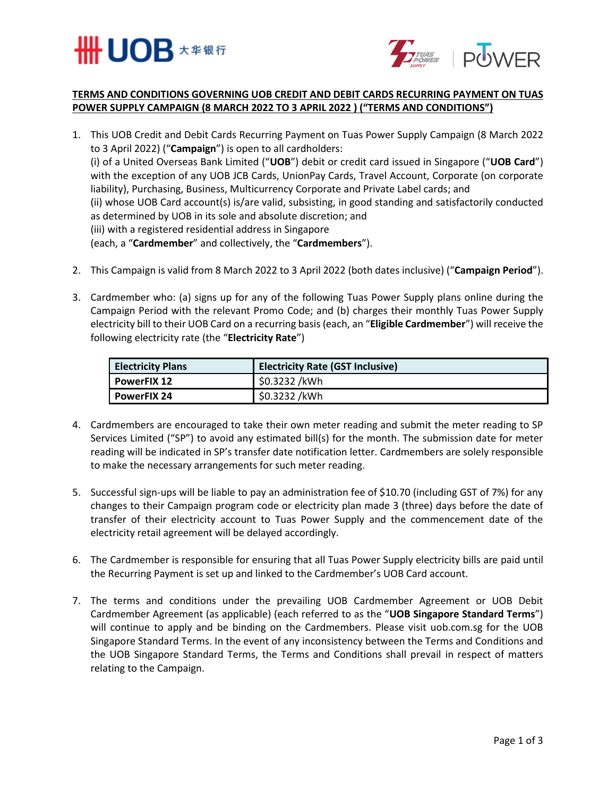



## **TERMS AND CONDITIONS GOVERNING UOB CREDIT AND DEBIT CARDS RECURRING PAYMENT ON TUAS POWER SUPPLY CAMPAIGN (8 MARCH 2022 TO 3 APRIL 2022 ) ("TERMS AND CONDITIONS")**

- 1. This UOB Credit and Debit Cards Recurring Payment on Tuas Power Supply Campaign (8 March 2022 to 3 April 2022) ("**Campaign**") is open to all cardholders: (i) of a United Overseas Bank Limited ("**UOB**") debit or credit card issued in Singapore ("**UOB Card**") with the exception of any UOB JCB Cards, UnionPay Cards, Travel Account, Corporate (on corporate liability), Purchasing, Business, Multicurrency Corporate and Private Label cards; and (ii) whose UOB Card account(s) is/are valid, subsisting, in good standing and satisfactorily conducted as determined by UOB in its sole and absolute discretion; and (iii) with a registered residential address in Singapore (each, a "**Cardmember**" and collectively, the "**Cardmembers**").
- 2. This Campaign is valid from 8 March 2022 to 3 April 2022 (both dates inclusive) ("**Campaign Period**").
- 3. Cardmember who: (a) signs up for any of the following Tuas Power Supply plans online during the Campaign Period with the relevant Promo Code; and (b) charges their monthly Tuas Power Supply electricity bill to their UOB Card on a recurring basis (each, an "**Eligible Cardmember**") will receive the following electricity rate (the "**Electricity Rate**")

| <b>Electricity Plans</b> | <b>Electricity Rate (GST Inclusive)</b> |
|--------------------------|-----------------------------------------|
| l PowerFIX 12            | \$0.3232 /kWh                           |
| l PowerFIX 24            | \$0.3232 /kWh                           |

- 4. Cardmembers are encouraged to take their own meter reading and submit the meter reading to SP Services Limited ("SP") to avoid any estimated bill(s) for the month. The submission date for meter reading will be indicated in SP's transfer date notification letter. Cardmembers are solely responsible to make the necessary arrangements for such meter reading.
- 5. Successful sign-ups will be liable to pay an administration fee of \$10.70 (including GST of 7%) for any changes to their Campaign program code or electricity plan made 3 (three) days before the date of transfer of their electricity account to Tuas Power Supply and the commencement date of the electricity retail agreement will be delayed accordingly.
- 6. The Cardmember is responsible for ensuring that all Tuas Power Supply electricity bills are paid until the Recurring Payment is set up and linked to the Cardmember's UOB Card account.
- 7. The terms and conditions under the prevailing UOB Cardmember Agreement or UOB Debit Cardmember Agreement (as applicable) (each referred to as the "**UOB Singapore Standard Terms**") will continue to apply and be binding on the Cardmembers. Please visit uob.com.sg for the UOB Singapore Standard Terms. In the event of any inconsistency between the Terms and Conditions and the UOB Singapore Standard Terms, the Terms and Conditions shall prevail in respect of matters relating to the Campaign.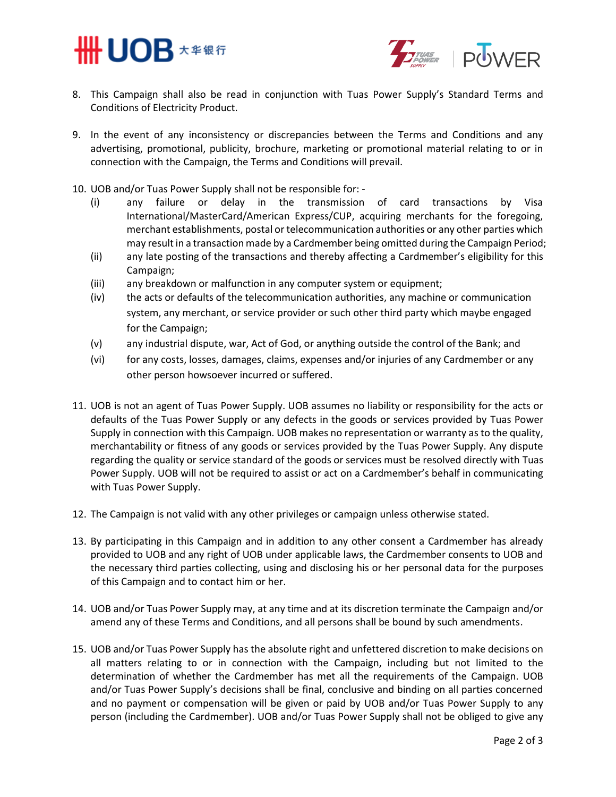



- 8. This Campaign shall also be read in conjunction with Tuas Power Supply's Standard Terms and Conditions of Electricity Product.
- 9. In the event of any inconsistency or discrepancies between the Terms and Conditions and any advertising, promotional, publicity, brochure, marketing or promotional material relating to or in connection with the Campaign, the Terms and Conditions will prevail.
- 10. UOB and/or Tuas Power Supply shall not be responsible for:
	- (i) any failure or delay in the transmission of card transactions by Visa International/MasterCard/American Express/CUP, acquiring merchants for the foregoing, merchant establishments, postal or telecommunication authorities or any other parties which may result in a transaction made by a Cardmember being omitted during the Campaign Period;
	- (ii) any late posting of the transactions and thereby affecting a Cardmember's eligibility for this Campaign;
	- (iii) any breakdown or malfunction in any computer system or equipment;
	- (iv) the acts or defaults of the telecommunication authorities, any machine or communication system, any merchant, or service provider or such other third party which maybe engaged for the Campaign;
	- (v) any industrial dispute, war, Act of God, or anything outside the control of the Bank; and
	- (vi) for any costs, losses, damages, claims, expenses and/or injuries of any Cardmember or any other person howsoever incurred or suffered.
- 11. UOB is not an agent of Tuas Power Supply. UOB assumes no liability or responsibility for the acts or defaults of the Tuas Power Supply or any defects in the goods or services provided by Tuas Power Supply in connection with this Campaign. UOB makes no representation or warranty as to the quality, merchantability or fitness of any goods or services provided by the Tuas Power Supply. Any dispute regarding the quality or service standard of the goods or services must be resolved directly with Tuas Power Supply. UOB will not be required to assist or act on a Cardmember's behalf in communicating with Tuas Power Supply.
- 12. The Campaign is not valid with any other privileges or campaign unless otherwise stated.
- 13. By participating in this Campaign and in addition to any other consent a Cardmember has already provided to UOB and any right of UOB under applicable laws, the Cardmember consents to UOB and the necessary third parties collecting, using and disclosing his or her personal data for the purposes of this Campaign and to contact him or her.
- 14. UOB and/or Tuas Power Supply may, at any time and at its discretion terminate the Campaign and/or amend any of these Terms and Conditions, and all persons shall be bound by such amendments.
- 15. UOB and/or Tuas Power Supply has the absolute right and unfettered discretion to make decisions on all matters relating to or in connection with the Campaign, including but not limited to the determination of whether the Cardmember has met all the requirements of the Campaign. UOB and/or Tuas Power Supply's decisions shall be final, conclusive and binding on all parties concerned and no payment or compensation will be given or paid by UOB and/or Tuas Power Supply to any person (including the Cardmember). UOB and/or Tuas Power Supply shall not be obliged to give any